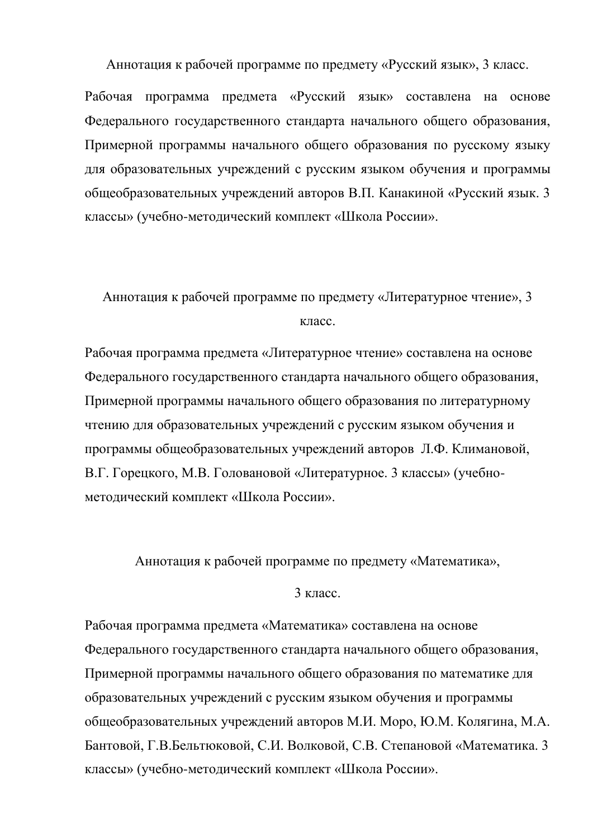Аннотация к рабочей программе по предмету «Русский язык», 3 класс.

Рабочая программа предмета «Русский язык» составлена на основе Федерального государственного стандарта начального общего образования, Примерной программы начального общего образования по русскому языку для образовательных учреждений с русским языком обучения и программы общеобразовательных учреждений авторов В.П. Канакиной «Русский язык. 3 классы» (учебно-методический комплект «Школа России».

Аннотация к рабочей программе по предмету «Литературное чтение», 3 класс.

Рабочая программа предмета «Литературное чтение» составлена на основе Федерального государственного стандарта начального общего образования, Примерной программы начального общего образования по литературному чтению для образовательных учреждений с русским языком обучения и программы общеобразовательных учреждений авторов Л.Ф. Климановой, В.Г. Горецкого, М.В. Головановой «Литературное. 3 классы» (учебнометолический комплект «Школа России».

Аннотация к рабочей программе по предмету «Математика»,

3 класс.

Рабочая программа предмета «Математика» составлена на основе Федерального государственного стандарта начального общего образования, Примерной программы начального общего образования по математике для образовательных учреждений с русским языком обучения и программы общеобразовательных учреждений авторов М.И. Моро, Ю.М. Колягина, М.А. Бантовой, Г.В.Бельтюковой, С.И. Волковой, С.В. Степановой «Математика. 3 классы» (учебно-методический комплект «Школа России».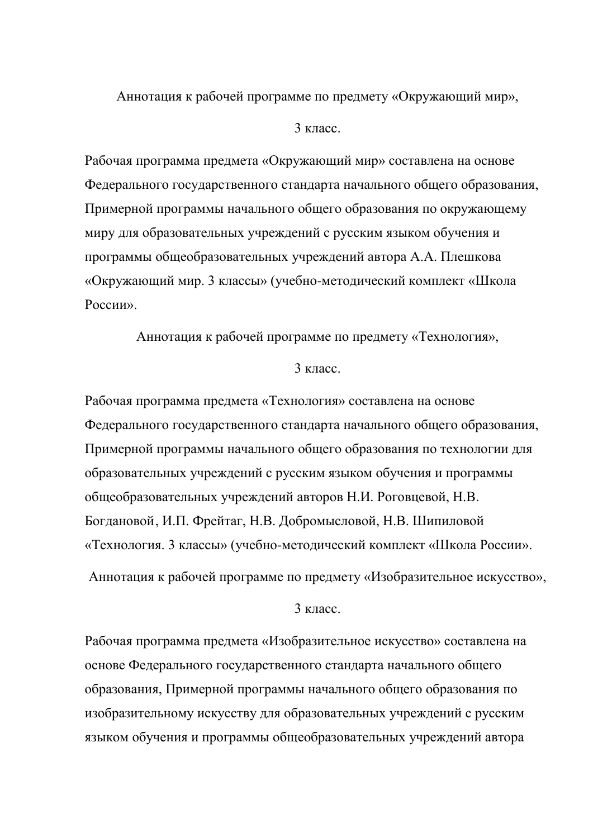Аннотация к рабочей программе по предмету «Окружающий мир»,

### $3 \text{ кпас}$

Рабочая программа предмета «Окружающий мир» составлена на основе Федерального государственного стандарта начального общего образования, Примерной программы начального общего образования по окружающему миру для образовательных учреждений с русским языком обучения и программы общеобразовательных учреждений автора А.А. Плешкова «Окружающий мир. 3 классы» (учебно-методический комплект «Школа POCCHU<sub>b</sub>

Аннотация к рабочей программе по предмету «Технология»,

## $3 \text{ кпас}$

Рабочая программа предмета «Технология» составлена на основе Федерального государственного стандарта начального общего образования, Примерной программы начального общего образования по технологии для образовательных учреждений с русским языком обучения и программы общеобразовательных учреждений авторов Н.И. Роговцевой, Н.В. Богдановой, И.П. Фрейтаг, Н.В. Добромысловой, Н.В. Шипиловой «Технология. 3 классы» (учебно-методический комплект «Школа России».

Аннотация к рабочей программе по предмету «Изобразительное искусство»,

## $3 \times \pi$

Рабочая программа предмета «Изобразительное искусство» составлена на основе Федерального государственного стандарта начального общего образования, Примерной программы начального общего образования по изобразительному искусству для образовательных учреждений с русским языком обучения и программы общеобразовательных учреждений автора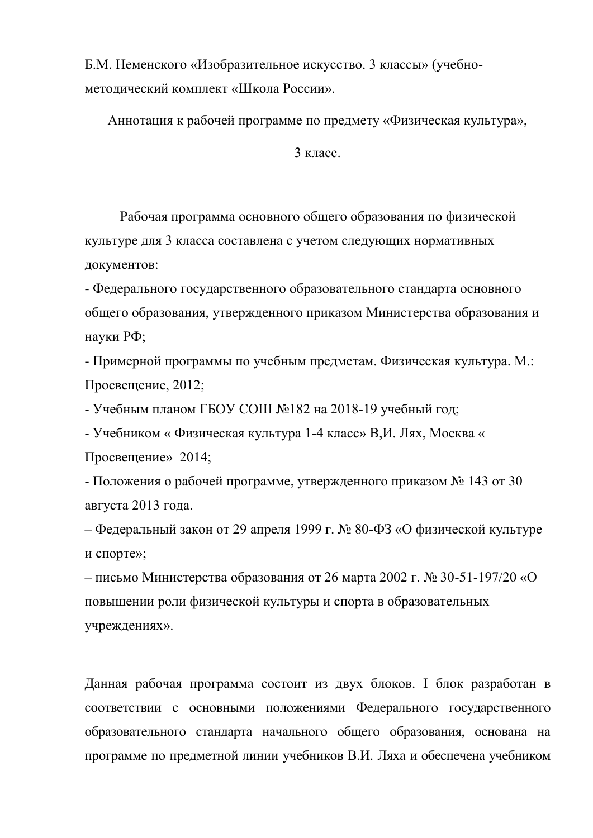Б.М. Неменского «Изобразительное искусство. 3 классы» (учебнометодический комплект «Школа России».

Аннотация к рабочей программе по предмету «Физическая культура»,

3 класс.

Рабочая программа основного общего образования по физической культуре для 3 класса составлена с учетом следующих нормативных документов:

- Федерального государственного образовательного стандарта основного общего образования, утвержденного приказом Министерства образования и науки РФ;

- Примерной программы по учебным предметам. Физическая культура. М.: Просвещение, 2012;

- Учебным планом ГБОУ СОШ №182 на 2018-19 учебный год;

- Учебником « Физическая культура 1-4 класс» В.И. Лях, Москва « Просвещение»  $2014$ ;

- Положения о рабочей программе, утвержденного приказом № 143 от 30 августа 2013 года.

– Федеральный закон от 29 апреля 1999 г. № 80-ФЗ «О физической культуре и спорте»;

– письмо Министерства образования от 26 марта 2002 г. № 30-51-197/20 «О повышении роли физической культуры и спорта в образовательных учреждениях».

Данная рабочая программа состоит из двух блоков. І блок разработан в соответствии с основными положениями Федерального государственного образовательного стандарта начального общего образования, основана на программе по предметной линии учебников В.И. Ляха и обеспечена учебником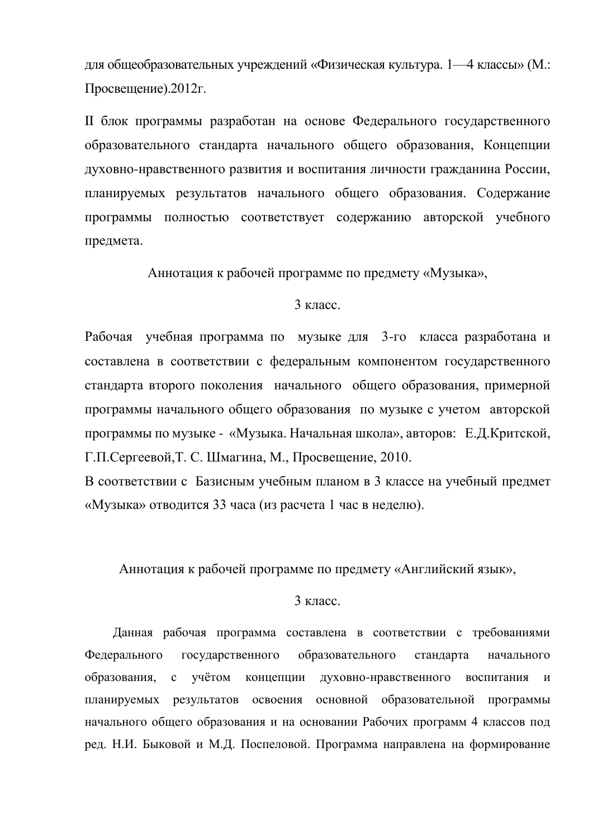для общеобразовательных учреждений «Физическая культура. 1—4 классы» (М.: Просвещение).2012г.

II блок программы разработан на основе Федерального государственного образовательного стандарта начального общего образования, Концепции духовно-нравственного развития и воспитания личности гражданина России, планируемых результатов начального общего образования. Содержание программы полностью соответствует содержанию авторской учебного предмета.

Аннотация к рабочей программе по предмету «Музыка»,

### $3 \text{ кпас}$

Рабочая учебная программа по музыке для 3-го класса разработана и составлена в соответствии с федеральным компонентом государственного стандарта второго поколения начального общего образования, примерной программы начального общего образования по музыке с учетом авторской программы по музыке - «Музыка. Начальная школа», авторов: Е.Д.Критской, Г.П.Сергеевой,Т. С. Шмагина, М., Просвещение, 2010.

В соответствии с Базисным учебным планом в 3 классе на учебный предмет «Музыка» отводится 33 часа (из расчета 1 час в неделю).

Аннотация к рабочей программе по предмету «Английский язык»,

# $3 \text{ кnacc}$ .

Данная рабочая программа составлена в соответствии с требованиями Федерального государственного образовательного стандарта начального образования, с учётом концепции духовно-нравственного воспитания и планируемых результатов освоения основной образовательной программы начального общего образования и на основании Рабочих программ 4 классов под ред. Н.И. Быковой и М.Д. Поспеловой. Программа направлена на формирование